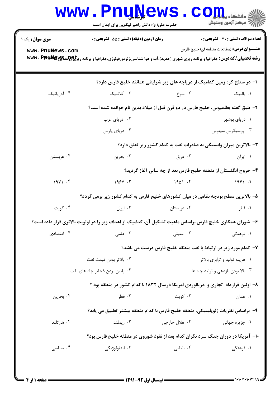| <b>سری سوال :</b> یک ۱          | زمان آزمون (دقيقه) : تستي : 55 آتشريحي : 0                                                                                                                  |                                                                                    | <b>تعداد سوالات : تستي : 30 ٪ تشريحي : 0</b>     |  |
|---------------------------------|-------------------------------------------------------------------------------------------------------------------------------------------------------------|------------------------------------------------------------------------------------|--------------------------------------------------|--|
| www.PnuNews.com                 | <b>رشته تحصیلی/کد درس:</b> جغرافیا و برنامه ریزی شهری (جدید)،آب و هوا شناسی،ژئومورفولوژی،جغرافیا و برنامه ری <del>زلیCولو</del> سیگلی <b>www . Pppy Hay</b> |                                                                                    | <b>عنـــوان درس:</b> (مطالعات منطقه ای(خلیج فارس |  |
|                                 |                                                                                                                                                             | ا– در سطح کره زمین کدامیک از دریاچه های زیر شرایطی همانند خلیج فارس دارد؟          |                                                  |  |
| ۰۴ آدریاتیک                     | ۰۳ آتلانتیک                                                                                                                                                 | ۰۲ سرخ                                                                             | ۰۱ بالتیک                                        |  |
|                                 | ۲– طبق گفته بطلمیوس، خلیج فارس در دو قرن قبل از میلاد بدین نام خوانده شده است؟                                                                              |                                                                                    |                                                  |  |
|                                 | ۰۲ دریای عرب                                                                                                                                                |                                                                                    | ۰۱ دریای بوشهر                                   |  |
|                                 | ۰۴ دریای پارس                                                                                                                                               |                                                                                    | ۰۳ پرسیکوس سینوس                                 |  |
|                                 |                                                                                                                                                             | ۳- بالاترین میزان وابستگی به صادرات نفت به کدام کشور زیر تعلق دارد؟                |                                                  |  |
| ۰۴ عربستان                      | ۰۳ بحرين                                                                                                                                                    | ۰۲ عراق                                                                            | ۰۱ ایران                                         |  |
|                                 |                                                                                                                                                             | ۴- خروج انگلستان از منطقه خلیج فارس بعد از چه سالی آغاز گردید؟                     |                                                  |  |
| 19Y1.5                          | 1988.5                                                                                                                                                      | 1901.7                                                                             | 1951.1                                           |  |
|                                 | ۵– بالاترین سطح بودجه نظامی در میان کشورهای خلیج فارس به کدام کشور زیر برمی گردد؟                                                                           |                                                                                    |                                                  |  |
| ۰۴ کویت                         | ۰۳ ایران                                                                                                                                                    | ۰۲ عربستان                                                                         | ۰۱ قطر                                           |  |
|                                 | ۶– شورای همکاری خلیج فارس براساس ماهیت تشکیل آن، کدامیک از اهداف زیر را در اولویت بالاتری قرار داده است؟                                                    |                                                                                    |                                                  |  |
| ۰۴ اقتصادی                      | .۳ علمی                                                                                                                                                     | ۰۲ امنیتی                                                                          | ۱. فرهنگی                                        |  |
|                                 | ۷- کدام مورد زیر در ارتباط با نفت منطقه خلیج فارس درست می باشد؟                                                                                             |                                                                                    |                                                  |  |
| ٠٢ بالاتر بودن قيمت نفت         |                                                                                                                                                             |                                                                                    | ۰۱ هزینه تولید و ترابری بالاتر                   |  |
| ۰۴ پایین بودن ذخایر چاه های نفت |                                                                                                                                                             |                                                                                    | ۰۳ بالا بودن بازدهی و تولید چاه ها               |  |
|                                 |                                                                                                                                                             | ۸– اولین قرارداد  تجاری و  دریانوردی امریکا درسال ۱۸۳۲ با کدام کشور در منطقه بود ؟ |                                                  |  |
| ۰۴ بحرين                        | ۰۳ قطر                                                                                                                                                      | ۰۲ کويت                                                                            | ۰۱ عمان                                          |  |
|                                 |                                                                                                                                                             | ٩− براساس نظریات ژئوپلیتیکی، منطقه خلیج فارس با کدام منطقه بیشتر تطبیق می یابد؟    |                                                  |  |
| ۰۴ هارتلند                      | ۰۳ ریملند                                                                                                                                                   | ۰۲ هلال خارجي                                                                      | ۰۱ جزیره <i>ج</i> هانی                           |  |
|                                 |                                                                                                                                                             | ۱۰– آمریکا در دوران جنگ سرد نگران کدام بعد از نفوذ شوروی در منطقه خلیج فارس بود؟   |                                                  |  |
| ۰۴ سیاسی                        | ۰۳ ايدئولوژيکي                                                                                                                                              | ۰۲ نظامی                                                                           | ١. فرهنگي                                        |  |

 $= 1.1.11.1.1$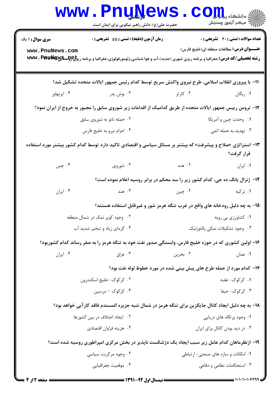|                                           | <b>LAW</b><br>حضرت علی(ع): دانش راهبر نیکویی برای ایمان است                                                                                                                                                    |          | : دانشکاه پ <b>یا با تو</b><br>رِ آرمون وسنڊش                                            |
|-------------------------------------------|----------------------------------------------------------------------------------------------------------------------------------------------------------------------------------------------------------------|----------|------------------------------------------------------------------------------------------|
| <b>سری سوال : ۱ یک</b><br>www.PnuNews.com | <b>زمان آزمون (دقیقه) : تستی : 55 تشریحی : 0</b><br><b>رشته تحصیلی/کد درس:</b> جغرافیا و برنامه ریزی شهری (جدید)،آب و هوا شناسی،ژئومورفولوژی،جغرافیا و برنامه ری <del>زلیCولو</del> سیگیچ <b>wwv . Pppy یا</b> |          | تعداد سوالات : تستى : 30 قشريحى : 0<br><b>عنــــوان درس:</b> مطالعات منطقه ای(خلیج فارس) |
|                                           | 11- با پیروزی انقلاب اسلامی، طرح نیروی واکنش سریع توسط کدام رئیس جمهور ایالات متحده تشکیل شد؟                                                                                                                  |          |                                                                                          |
| ۰۴ ایزنهاور                               | ۰۳ بوش پدر                                                                                                                                                                                                     | ۰۲ کارتر | ۰۱ ریگان                                                                                 |
|                                           | ۱۲- ترومن رییس جمهور ایالات متحده از طریق کدامیک از اقدامات زیر شوروی سابق را مجبور به خروج از ایران نمود؟                                                                                                     |          |                                                                                          |
|                                           | ۰۲ حمله ناتو به شوروی سابق                                                                                                                                                                                     |          | ۰۱ وحدت چين و آمريكا                                                                     |
|                                           | ۰۴ اعزام نيرو به خليج فارس                                                                                                                                                                                     |          | ۰۳ تهدید به حمله اتمی                                                                    |
|                                           | ۱۳– استراتژی «صلاح و پیشرفت» که بیشتر بر مسائل سیاسی و اقتصادی تاکید دارد توسط کدام کشور بیشتر مورد استفاده                                                                                                    |          | قرار گرفت؟                                                                               |
| ۰۴ چين                                    | ۰۳ شوروی                                                                                                                                                                                                       | ۰۲ هند   | ٠١ ايران                                                                                 |
|                                           | ۱۴- ژنرال یانگ ده جی، کدام کشور زیر را سد محکم در برابر روسیه اعلام نموده است؟                                                                                                                                 |          |                                                                                          |
| ۰۴ ایران                                  | ۰۳ هند                                                                                                                                                                                                         | ۰۲ چين   | ۰۱ ترکیه                                                                                 |
|                                           | ۱۵– به چه دلیل رودخانه های واقع در غرب تنگه هرمز شور و غیرقابل استفاده هستند؟                                                                                                                                  |          |                                                                                          |
|                                           | ۰۲ وجود کویر نمک در شمال منطقه                                                                                                                                                                                 |          | ۰۱ کشاورزی بی رویه                                                                       |
|                                           | ۰۴ گرمای زیاد و تبخیر شدید آب                                                                                                                                                                                  |          | ۰۳ وجود تشكيلات نمكي پالئوزئيك                                                           |
|                                           | ۱۶– اولین کشوری که در حوزه خلیج فارس، وابستگی صدور نفت خود به تنگه هرمز را به صفر رساند کدام کشوربود؟                                                                                                          |          |                                                                                          |
| ۰۴ ایران                                  | ۰۳ عراق                                                                                                                                                                                                        | ۰۲ بحرين | ۰۱ عمان                                                                                  |
|                                           | ۱۷- کدام مورد از جمله طرح های پیش بینی شده در مورد خطوط لوله نفت بود؟                                                                                                                                          |          |                                                                                          |
|                                           | ۰۲ کر کوک- خلیج اسکندرون                                                                                                                                                                                       |          | ۰۱ کرکوک-عقبه                                                                            |
|                                           | ۰۴ کرکوک - مرسین                                                                                                                                                                                               |          | ۰۳ کر کوک- حیفا                                                                          |
|                                           | ۱۸– به چه دلیل ایجاد کانال جایگزین برای تنگه هرمز در شمال شبه جزیره المسندم فاقد کارآیی خواهد بود؟                                                                                                             |          |                                                                                          |
|                                           | ۰۲ ایجاد اختلاف در بین کشورها                                                                                                                                                                                  |          | ۰۱ وجود پرتگاه های دریایی                                                                |
|                                           | ۰۴ هزينه فراوان اقتصادي                                                                                                                                                                                        |          | ۰۳ در دید بودن کانال برای ایران                                                          |
|                                           | ۱۹- ازنظرماهان کدام عامل زیر سبب ایجاد یک دژشکست ناپذیر در بخش مرکزی امپراطوری روسیه شده است؟                                                                                                                  |          |                                                                                          |
|                                           | ۰۲ وجود مرکزیت سیاسی                                                                                                                                                                                           |          | ۰۱ امکانات و سازه های صنعتی- ارتباطی                                                     |
|                                           | ۰۴ موقعیت جغرافیایی                                                                                                                                                                                            |          | ۰۳ استحکامات نظامی و دفاعی                                                               |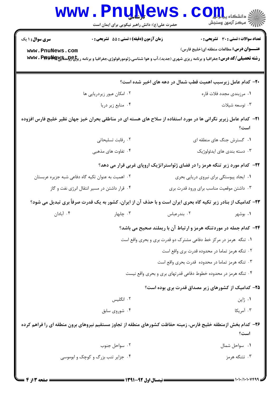|                                                    | <b>www.Pnunews</b><br>حضرت علی(ع): دانش راهبر نیکویی برای ایمان است | الله دانشگاه پیابازاد<br>الله عرکز آزمون وسنجش                                                                                                             |  |
|----------------------------------------------------|---------------------------------------------------------------------|------------------------------------------------------------------------------------------------------------------------------------------------------------|--|
| <b>سری سوال : ۱ یک</b>                             | زمان آزمون (دقیقه) : تستی : 55 آتشریحی : 0                          | تعداد سوالات : تستي : 30 - تشريحي : 0                                                                                                                      |  |
| www.PnuNews.com                                    |                                                                     | <b>عنـــوان درس:</b> مطالعات منطقه ای(خلیج فارس)                                                                                                           |  |
|                                                    |                                                                     | <b>رشته تحصیلی/کد درس:</b> جغرافیا و برنامه ریزی شهری (جدید)،آب و هوا شناسی،ژئومورفولوژی،جغرافیا و برنامه ری <del>زلیCولو</del> سیگیی <b>WW . Pppp بال</b> |  |
|                                                    |                                                                     | +۲- کدام عامل زیرسبب اهمیت قطب شمال در دهه های اخیر شده است؟                                                                                               |  |
|                                                    | ۰۲ امکان عبور زیردریایی ها                                          | ۰۱ مرزبندی مجدد فلات قاره                                                                                                                                  |  |
|                                                    | ۰۴ منابع زیر دریا                                                   | ۰۳ توسعه شیلات                                                                                                                                             |  |
|                                                    |                                                                     | <b>۲۱</b> – کدام عامل زیربر نگرانی ها در مورد استفاده از سلاح های هسته ای در مناطقی بحران خیز جهان نظیر خلیج فارس افزوده<br>است؟                           |  |
|                                                    | ۰۲ رقابت تسليحاتي                                                   | ۰۱ گسترش جنگ های منطقه ای                                                                                                                                  |  |
|                                                    | ۰۴ تفاوت های مذهبی                                                  | ۰۳ دسته بندی های ایدئولوژیک                                                                                                                                |  |
|                                                    |                                                                     | ۲۲- کدام مورد زیر تنگه هرمز را در فضای ژئواستراتژیک اروپای غربی قرار می دهد؟                                                                               |  |
| ۰۲ اهمیت به عنوان تکیه گاه دفاعی شبه جزیره عربستان |                                                                     | ٠١ ايجاد پيوستگي براي نيروي دريايي بحري                                                                                                                    |  |
| ۰۴ قرار داشتن در مسیر انتقال انرژی نفت و گاز       |                                                                     | ۰۳ داشتن موقعیت مناسب برای ورود قدرت بری                                                                                                                   |  |
|                                                    |                                                                     | ۲۳- کدامیک از بنادر زیر تکیه گاه بحری ایران است و با حذف آن از ایران، کشور به یک قدرت صرفاً بری تبدیل می شود؟                                              |  |
| ۰۴ آبادان                                          | ۰۳ چابهار                                                           | ۰۲ بندرعباس<br>۰۱ بوشهر                                                                                                                                    |  |
|                                                    |                                                                     | <b>۲۴</b> - کدام جمله در موردتنگه هرمز و ارتباط آن با ریملند صحیح می باشد؟                                                                                 |  |
|                                                    |                                                                     | ۰۱ تنگه هرمز در مرکز خط دفاعی مشترک دو قدرت بری و بحری واقع است                                                                                            |  |
|                                                    |                                                                     | ۰۲ تنگه هرمز تماما در محدوده قدرت بری واقع است                                                                                                             |  |
|                                                    |                                                                     | ۰۳ تنگه هرمز تماما در محدوده قدرت بحری واقع است                                                                                                            |  |
|                                                    |                                                                     | ۰۴ تنگه هرمز در محدوده خطوط دفاعی قدرتهای بری و بحری واقع نیست                                                                                             |  |
|                                                    |                                                                     | ۲۵– کدامیک از کشورهای زیر مصداق قدرت بری بوده است؟                                                                                                         |  |
|                                                    | ۰۲ انگلیس                                                           | ۰۱ ژاپن                                                                                                                                                    |  |
|                                                    | ۰۴ شوروی سابق                                                       | ۰۳ آمریکا                                                                                                                                                  |  |
|                                                    |                                                                     | ۲۶– کدام بخش ازمنطقه خلیج فارس، زمینه حفاظت کشورهای منطقه از تجاوز مستقیم نیروهای برون منطقه ای را فراهم کرده                                              |  |
|                                                    |                                                                     | است؟                                                                                                                                                       |  |
|                                                    | ۰۲ سواحل جنوب                                                       | ٠١ سواحل شمال                                                                                                                                              |  |
|                                                    | ۰۴ جزایر تنب بزرگ و کوچک و ابوموسی                                  | ۰۳ تتنگه هرمز                                                                                                                                              |  |